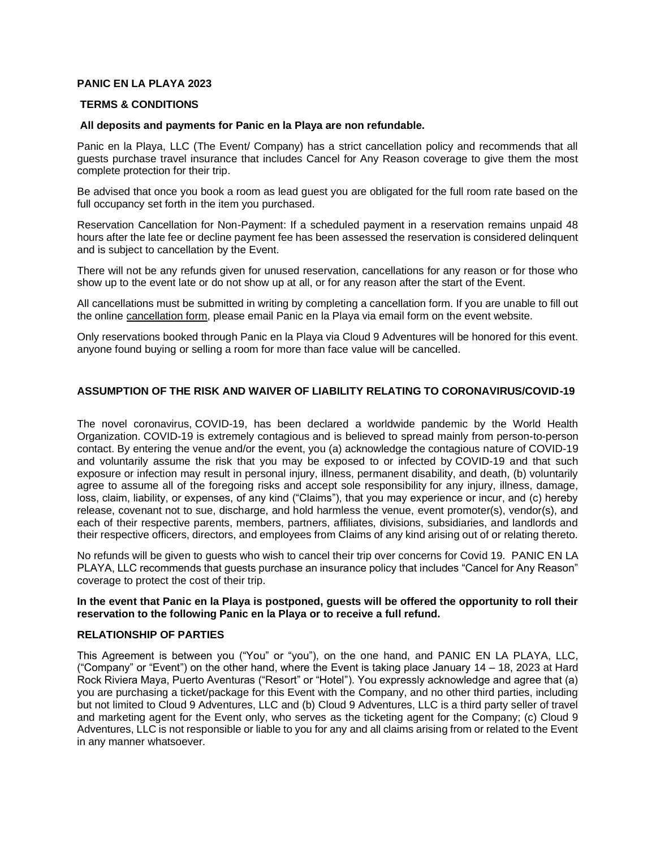## **PANIC EN LA PLAYA 2023**

#### **TERMS & CONDITIONS**

#### **All deposits and payments for Panic en la Playa are non refundable.**

Panic en la Playa, LLC (The Event/ Company) has a strict cancellation policy and recommends that all guests purchase travel insurance that includes Cancel for Any Reason coverage to give them the most complete protection for their trip.

Be advised that once you book a room as lead guest you are obligated for the full room rate based on the full occupancy set forth in the item you purchased.

Reservation Cancellation for Non-Payment: If a scheduled payment in a reservation remains unpaid 48 hours after the late fee or decline payment fee has been assessed the reservation is considered delinquent and is subject to cancellation by the Event.

There will not be any refunds given for unused reservation, cancellations for any reason or for those who show up to the event late or do not show up at all, or for any reason after the start of the Event.

All cancellations must be submitted in writing by completing a cancellation form. If you are unable to fill out the online [cancellation form,](http://reuben.holyship.com/a/a/cancellations) please email Panic en la Playa via email form on the event website.

Only reservations booked through Panic en la Playa via Cloud 9 Adventures will be honored for this event. anyone found buying or selling a room for more than face value will be cancelled.

#### **ASSUMPTION OF THE RISK AND WAIVER OF LIABILITY RELATING TO CORONAVIRUS/COVID-19**

The novel coronavirus, COVID-19, has been declared a worldwide pandemic by the World Health Organization. COVID-19 is extremely contagious and is believed to spread mainly from person-to-person contact. By entering the venue and/or the event, you (a) acknowledge the contagious nature of COVID-19 and voluntarily assume the risk that you may be exposed to or infected by COVID-19 and that such exposure or infection may result in personal injury, illness, permanent disability, and death, (b) voluntarily agree to assume all of the foregoing risks and accept sole responsibility for any injury, illness, damage, loss, claim, liability, or expenses, of any kind ("Claims"), that you may experience or incur, and (c) hereby release, covenant not to sue, discharge, and hold harmless the venue, event promoter(s), vendor(s), and each of their respective parents, members, partners, affiliates, divisions, subsidiaries, and landlords and their respective officers, directors, and employees from Claims of any kind arising out of or relating thereto.

No refunds will be given to guests who wish to cancel their trip over concerns for Covid 19. PANIC EN LA PLAYA, LLC recommends that guests purchase an insurance policy that includes "Cancel for Any Reason" coverage to protect the cost of their trip.

#### **In the event that Panic en la Playa is postponed, guests will be offered the opportunity to roll their reservation to the following Panic en la Playa or to receive a full refund.**

#### **RELATIONSHIP OF PARTIES**

This Agreement is between you ("You" or "you"), on the one hand, and PANIC EN LA PLAYA, LLC, ("Company" or "Event") on the other hand, where the Event is taking place January 14 – 18, 2023 at Hard Rock Riviera Maya, Puerto Aventuras ("Resort" or "Hotel"). You expressly acknowledge and agree that (a) you are purchasing a ticket/package for this Event with the Company, and no other third parties, including but not limited to Cloud 9 Adventures, LLC and (b) Cloud 9 Adventures, LLC is a third party seller of travel and marketing agent for the Event only, who serves as the ticketing agent for the Company; (c) Cloud 9 Adventures, LLC is not responsible or liable to you for any and all claims arising from or related to the Event in any manner whatsoever.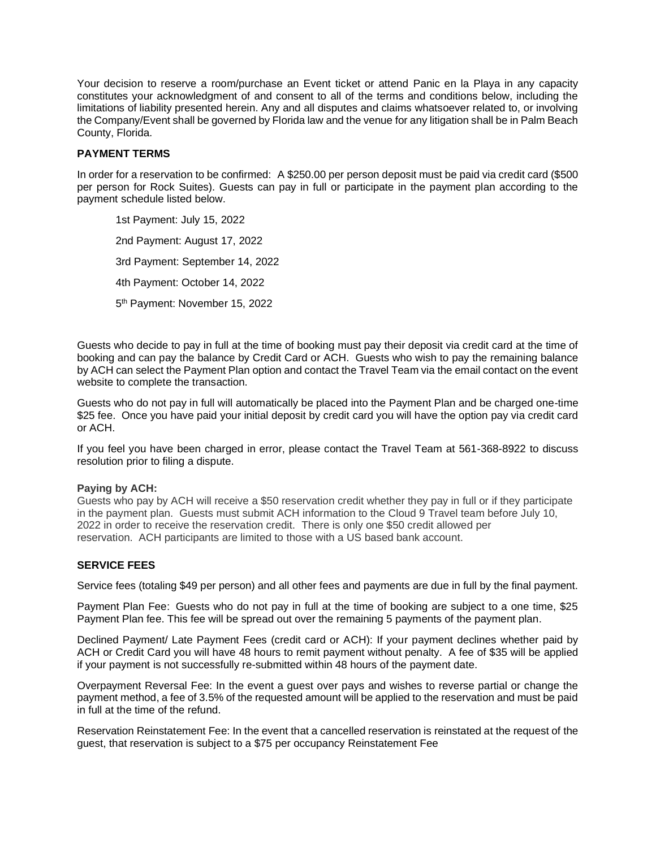Your decision to reserve a room/purchase an Event ticket or attend Panic en la Playa in any capacity constitutes your acknowledgment of and consent to all of the terms and conditions below, including the limitations of liability presented herein. Any and all disputes and claims whatsoever related to, or involving the Company/Event shall be governed by Florida law and the venue for any litigation shall be in Palm Beach County, Florida.

# **PAYMENT TERMS**

In order for a reservation to be confirmed: A \$250.00 per person deposit must be paid via credit card (\$500 per person for Rock Suites). Guests can pay in full or participate in the payment plan according to the payment schedule listed below.

1st Payment: July 15, 2022 2nd Payment: August 17, 2022 3rd Payment: September 14, 2022 4th Payment: October 14, 2022 5<sup>th</sup> Payment: November 15, 2022

Guests who decide to pay in full at the time of booking must pay their deposit via credit card at the time of booking and can pay the balance by Credit Card or ACH. Guests who wish to pay the remaining balance by ACH can select the Payment Plan option and contact the Travel Team via the email contact on the event website to complete the transaction.

Guests who do not pay in full will automatically be placed into the Payment Plan and be charged one-time \$25 fee. Once you have paid your initial deposit by credit card you will have the option pay via credit card or ACH.

If you feel you have been charged in error, please contact the Travel Team at 561-368-8922 to discuss resolution prior to filing a dispute.

## **Paying by ACH:**

Guests who pay by ACH will receive a \$50 reservation credit whether they pay in full or if they participate in the payment plan. Guests must submit ACH information to the Cloud 9 Travel team before July 10, 2022 in order to receive the reservation credit. There is only one \$50 credit allowed per reservation. ACH participants are limited to those with a US based bank account.

# **SERVICE FEES**

Service fees (totaling \$49 per person) and all other fees and payments are due in full by the final payment.

Payment Plan Fee: Guests who do not pay in full at the time of booking are subject to a one time, \$25 Payment Plan fee. This fee will be spread out over the remaining 5 payments of the payment plan.

Declined Payment/ Late Payment Fees (credit card or ACH): If your payment declines whether paid by ACH or Credit Card you will have 48 hours to remit payment without penalty. A fee of \$35 will be applied if your payment is not successfully re-submitted within 48 hours of the payment date.

Overpayment Reversal Fee: In the event a guest over pays and wishes to reverse partial or change the payment method, a fee of 3.5% of the requested amount will be applied to the reservation and must be paid in full at the time of the refund.

Reservation Reinstatement Fee: In the event that a cancelled reservation is reinstated at the request of the guest, that reservation is subject to a \$75 per occupancy Reinstatement Fee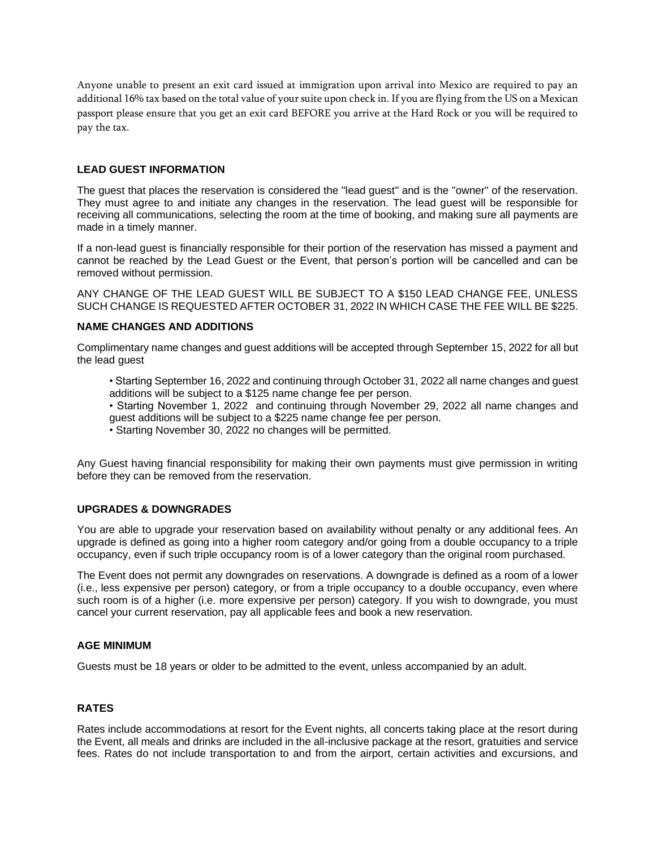Anyone unable to present an exit card issued at immigration upon arrival into Mexico are required to pay an additional 16% tax based on the total value of your suite upon check in. If you are flying from the US on a Mexican passport please ensure that you get an exit card BEFORE you arrive at the Hard Rock or you will be required to pay the tax.

## **LEAD GUEST INFORMATION**

The guest that places the reservation is considered the "lead guest" and is the "owner" of the reservation. They must agree to and initiate any changes in the reservation. The lead guest will be responsible for receiving all communications, selecting the room at the time of booking, and making sure all payments are made in a timely manner.

If a non-lead guest is financially responsible for their portion of the reservation has missed a payment and cannot be reached by the Lead Guest or the Event, that person's portion will be cancelled and can be removed without permission.

ANY CHANGE OF THE LEAD GUEST WILL BE SUBJECT TO A \$150 LEAD CHANGE FEE, UNLESS SUCH CHANGE IS REQUESTED AFTER OCTOBER 31, 2022 IN WHICH CASE THE FEE WILL BE \$225.

# **NAME CHANGES AND ADDITIONS**

Complimentary name changes and guest additions will be accepted through September 15, 2022 for all but the lead guest

- Starting September 16, 2022 and continuing through October 31, 2022 all name changes and guest additions will be subject to a \$125 name change fee per person.
- Starting November 1, 2022 and continuing through November 29, 2022 all name changes and guest additions will be subject to a \$225 name change fee per person.
- Starting November 30, 2022 no changes will be permitted.

Any Guest having financial responsibility for making their own payments must give permission in writing before they can be removed from the reservation.

## **UPGRADES & DOWNGRADES**

You are able to upgrade your reservation based on availability without penalty or any additional fees. An upgrade is defined as going into a higher room category and/or going from a double occupancy to a triple occupancy, even if such triple occupancy room is of a lower category than the original room purchased.

The Event does not permit any downgrades on reservations. A downgrade is defined as a room of a lower (i.e., less expensive per person) category, or from a triple occupancy to a double occupancy, even where such room is of a higher (i.e. more expensive per person) category. If you wish to downgrade, you must cancel your current reservation, pay all applicable fees and book a new reservation.

## **AGE MINIMUM**

Guests must be 18 years or older to be admitted to the event, unless accompanied by an adult.

# **RATES**

Rates include accommodations at resort for the Event nights, all concerts taking place at the resort during the Event, all meals and drinks are included in the all-inclusive package at the resort, gratuities and service fees. Rates do not include transportation to and from the airport, certain activities and excursions, and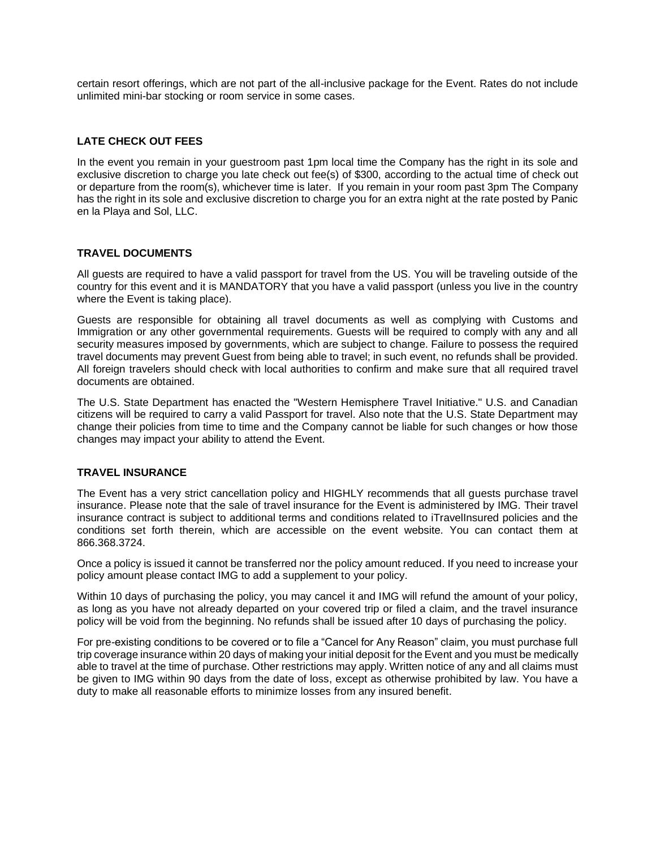certain resort offerings, which are not part of the all-inclusive package for the Event. Rates do not include unlimited mini-bar stocking or room service in some cases.

# **LATE CHECK OUT FEES**

In the event you remain in your guestroom past 1pm local time the Company has the right in its sole and exclusive discretion to charge you late check out fee(s) of \$300, according to the actual time of check out or departure from the room(s), whichever time is later. If you remain in your room past 3pm The Company has the right in its sole and exclusive discretion to charge you for an extra night at the rate posted by Panic en la Playa and Sol, LLC.

## **TRAVEL DOCUMENTS**

All guests are required to have a valid passport for travel from the US. You will be traveling outside of the country for this event and it is MANDATORY that you have a valid passport (unless you live in the country where the Event is taking place).

Guests are responsible for obtaining all travel documents as well as complying with Customs and Immigration or any other governmental requirements. Guests will be required to comply with any and all security measures imposed by governments, which are subject to change. Failure to possess the required travel documents may prevent Guest from being able to travel; in such event, no refunds shall be provided. All foreign travelers should check with local authorities to confirm and make sure that all required travel documents are obtained.

The U.S. State Department has enacted the "Western Hemisphere Travel Initiative." U.S. and Canadian citizens will be required to carry a valid Passport for travel. Also note that the U.S. State Department may change their policies from time to time and the Company cannot be liable for such changes or how those changes may impact your ability to attend the Event.

## **TRAVEL INSURANCE**

The Event has a very strict cancellation policy and HIGHLY recommends that all guests purchase travel insurance. Please note that the sale of travel insurance for the Event is administered by IMG. Their travel insurance contract is subject to additional terms and conditions related to iTravelInsured policies and the conditions set forth therein, which are accessible on the event website. You can contact them at 866.368.3724.

Once a policy is issued it cannot be transferred nor the policy amount reduced. If you need to increase your policy amount please contact IMG to add a supplement to your policy.

Within 10 days of purchasing the policy, you may cancel it and IMG will refund the amount of your policy, as long as you have not already departed on your covered trip or filed a claim, and the travel insurance policy will be void from the beginning. No refunds shall be issued after 10 days of purchasing the policy.

For pre-existing conditions to be covered or to file a "Cancel for Any Reason" claim, you must purchase full trip coverage insurance within 20 days of making your initial deposit for the Event and you must be medically able to travel at the time of purchase. Other restrictions may apply. Written notice of any and all claims must be given to IMG within 90 days from the date of loss, except as otherwise prohibited by law. You have a duty to make all reasonable efforts to minimize losses from any insured benefit.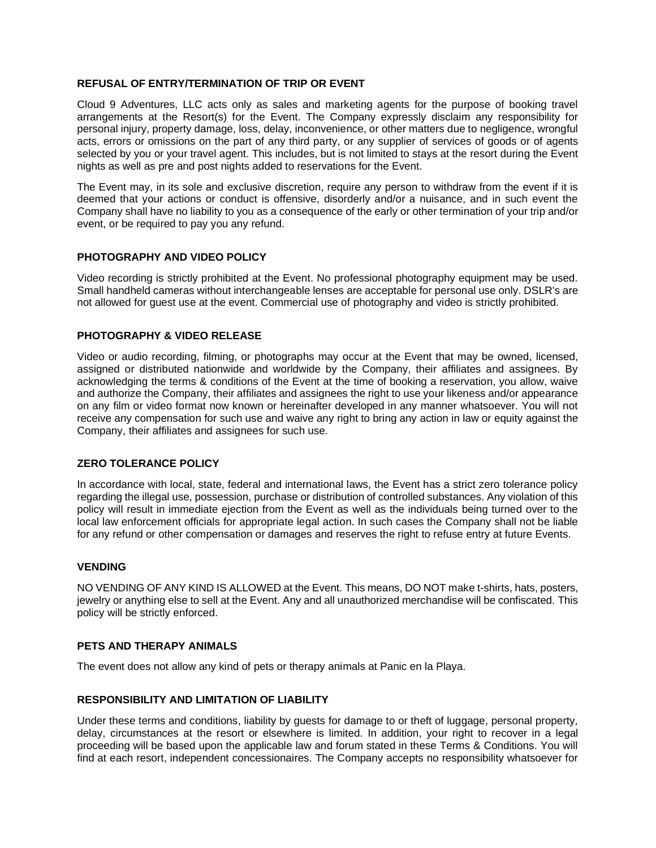## **REFUSAL OF ENTRY/TERMINATION OF TRIP OR EVENT**

Cloud 9 Adventures, LLC acts only as sales and marketing agents for the purpose of booking travel arrangements at the Resort(s) for the Event. The Company expressly disclaim any responsibility for personal injury, property damage, loss, delay, inconvenience, or other matters due to negligence, wrongful acts, errors or omissions on the part of any third party, or any supplier of services of goods or of agents selected by you or your travel agent. This includes, but is not limited to stays at the resort during the Event nights as well as pre and post nights added to reservations for the Event.

The Event may, in its sole and exclusive discretion, require any person to withdraw from the event if it is deemed that your actions or conduct is offensive, disorderly and/or a nuisance, and in such event the Company shall have no liability to you as a consequence of the early or other termination of your trip and/or event, or be required to pay you any refund.

#### **PHOTOGRAPHY AND VIDEO POLICY**

Video recording is strictly prohibited at the Event. No professional photography equipment may be used. Small handheld cameras without interchangeable lenses are acceptable for personal use only. DSLR's are not allowed for guest use at the event. Commercial use of photography and video is strictly prohibited.

## **PHOTOGRAPHY & VIDEO RELEASE**

Video or audio recording, filming, or photographs may occur at the Event that may be owned, licensed, assigned or distributed nationwide and worldwide by the Company, their affiliates and assignees. By acknowledging the terms & conditions of the Event at the time of booking a reservation, you allow, waive and authorize the Company, their affiliates and assignees the right to use your likeness and/or appearance on any film or video format now known or hereinafter developed in any manner whatsoever. You will not receive any compensation for such use and waive any right to bring any action in law or equity against the Company, their affiliates and assignees for such use.

## **ZERO TOLERANCE POLICY**

In accordance with local, state, federal and international laws, the Event has a strict zero tolerance policy regarding the illegal use, possession, purchase or distribution of controlled substances. Any violation of this policy will result in immediate ejection from the Event as well as the individuals being turned over to the local law enforcement officials for appropriate legal action. In such cases the Company shall not be liable for any refund or other compensation or damages and reserves the right to refuse entry at future Events.

#### **VENDING**

NO VENDING OF ANY KIND IS ALLOWED at the Event. This means, DO NOT make t-shirts, hats, posters, jewelry or anything else to sell at the Event. Any and all unauthorized merchandise will be confiscated. This policy will be strictly enforced.

#### **PETS AND THERAPY ANIMALS**

The event does not allow any kind of pets or therapy animals at Panic en la Playa.

#### **RESPONSIBILITY AND LIMITATION OF LIABILITY**

Under these terms and conditions, liability by guests for damage to or theft of luggage, personal property, delay, circumstances at the resort or elsewhere is limited. In addition, your right to recover in a legal proceeding will be based upon the applicable law and forum stated in these Terms & Conditions. You will find at each resort, independent concessionaires. The Company accepts no responsibility whatsoever for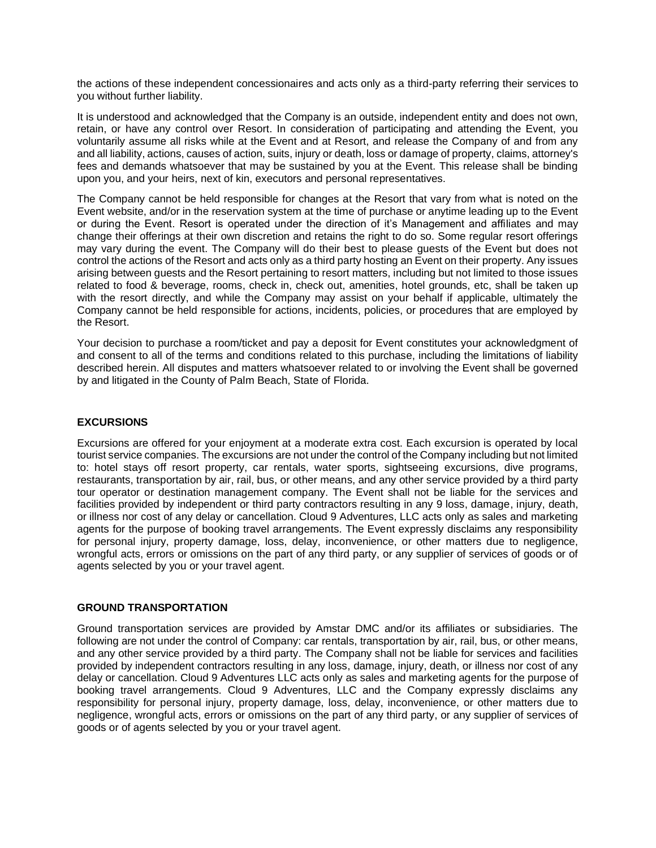the actions of these independent concessionaires and acts only as a third-party referring their services to you without further liability.

It is understood and acknowledged that the Company is an outside, independent entity and does not own, retain, or have any control over Resort. In consideration of participating and attending the Event, you voluntarily assume all risks while at the Event and at Resort, and release the Company of and from any and all liability, actions, causes of action, suits, injury or death, loss or damage of property, claims, attorney's fees and demands whatsoever that may be sustained by you at the Event. This release shall be binding upon you, and your heirs, next of kin, executors and personal representatives.

The Company cannot be held responsible for changes at the Resort that vary from what is noted on the Event website, and/or in the reservation system at the time of purchase or anytime leading up to the Event or during the Event. Resort is operated under the direction of it's Management and affiliates and may change their offerings at their own discretion and retains the right to do so. Some regular resort offerings may vary during the event. The Company will do their best to please guests of the Event but does not control the actions of the Resort and acts only as a third party hosting an Event on their property. Any issues arising between guests and the Resort pertaining to resort matters, including but not limited to those issues related to food & beverage, rooms, check in, check out, amenities, hotel grounds, etc, shall be taken up with the resort directly, and while the Company may assist on your behalf if applicable, ultimately the Company cannot be held responsible for actions, incidents, policies, or procedures that are employed by the Resort.

Your decision to purchase a room/ticket and pay a deposit for Event constitutes your acknowledgment of and consent to all of the terms and conditions related to this purchase, including the limitations of liability described herein. All disputes and matters whatsoever related to or involving the Event shall be governed by and litigated in the County of Palm Beach, State of Florida.

# **EXCURSIONS**

Excursions are offered for your enjoyment at a moderate extra cost. Each excursion is operated by local tourist service companies. The excursions are not under the control of the Company including but not limited to: hotel stays off resort property, car rentals, water sports, sightseeing excursions, dive programs, restaurants, transportation by air, rail, bus, or other means, and any other service provided by a third party tour operator or destination management company. The Event shall not be liable for the services and facilities provided by independent or third party contractors resulting in any 9 loss, damage, injury, death, or illness nor cost of any delay or cancellation. Cloud 9 Adventures, LLC acts only as sales and marketing agents for the purpose of booking travel arrangements. The Event expressly disclaims any responsibility for personal injury, property damage, loss, delay, inconvenience, or other matters due to negligence, wrongful acts, errors or omissions on the part of any third party, or any supplier of services of goods or of agents selected by you or your travel agent.

## **GROUND TRANSPORTATION**

Ground transportation services are provided by Amstar DMC and/or its affiliates or subsidiaries. The following are not under the control of Company: car rentals, transportation by air, rail, bus, or other means, and any other service provided by a third party. The Company shall not be liable for services and facilities provided by independent contractors resulting in any loss, damage, injury, death, or illness nor cost of any delay or cancellation. Cloud 9 Adventures LLC acts only as sales and marketing agents for the purpose of booking travel arrangements. Cloud 9 Adventures, LLC and the Company expressly disclaims any responsibility for personal injury, property damage, loss, delay, inconvenience, or other matters due to negligence, wrongful acts, errors or omissions on the part of any third party, or any supplier of services of goods or of agents selected by you or your travel agent.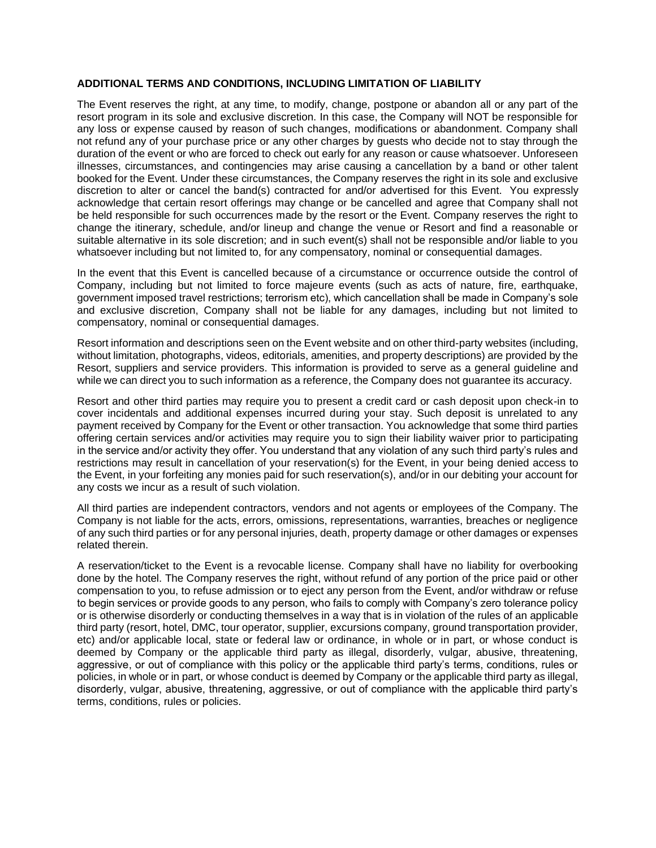#### **ADDITIONAL TERMS AND CONDITIONS, INCLUDING LIMITATION OF LIABILITY**

The Event reserves the right, at any time, to modify, change, postpone or abandon all or any part of the resort program in its sole and exclusive discretion. In this case, the Company will NOT be responsible for any loss or expense caused by reason of such changes, modifications or abandonment. Company shall not refund any of your purchase price or any other charges by guests who decide not to stay through the duration of the event or who are forced to check out early for any reason or cause whatsoever. Unforeseen illnesses, circumstances, and contingencies may arise causing a cancellation by a band or other talent booked for the Event. Under these circumstances, the Company reserves the right in its sole and exclusive discretion to alter or cancel the band(s) contracted for and/or advertised for this Event. You expressly acknowledge that certain resort offerings may change or be cancelled and agree that Company shall not be held responsible for such occurrences made by the resort or the Event. Company reserves the right to change the itinerary, schedule, and/or lineup and change the venue or Resort and find a reasonable or suitable alternative in its sole discretion; and in such event(s) shall not be responsible and/or liable to you whatsoever including but not limited to, for any compensatory, nominal or consequential damages.

In the event that this Event is cancelled because of a circumstance or occurrence outside the control of Company, including but not limited to force majeure events (such as acts of nature, fire, earthquake, government imposed travel restrictions; terrorism etc), which cancellation shall be made in Company's sole and exclusive discretion, Company shall not be liable for any damages, including but not limited to compensatory, nominal or consequential damages.

Resort information and descriptions seen on the Event website and on other third-party websites (including, without limitation, photographs, videos, editorials, amenities, and property descriptions) are provided by the Resort, suppliers and service providers. This information is provided to serve as a general guideline and while we can direct you to such information as a reference, the Company does not guarantee its accuracy.

Resort and other third parties may require you to present a credit card or cash deposit upon check-in to cover incidentals and additional expenses incurred during your stay. Such deposit is unrelated to any payment received by Company for the Event or other transaction. You acknowledge that some third parties offering certain services and/or activities may require you to sign their liability waiver prior to participating in the service and/or activity they offer. You understand that any violation of any such third party's rules and restrictions may result in cancellation of your reservation(s) for the Event, in your being denied access to the Event, in your forfeiting any monies paid for such reservation(s), and/or in our debiting your account for any costs we incur as a result of such violation.

All third parties are independent contractors, vendors and not agents or employees of the Company. The Company is not liable for the acts, errors, omissions, representations, warranties, breaches or negligence of any such third parties or for any personal injuries, death, property damage or other damages or expenses related therein.

A reservation/ticket to the Event is a revocable license. Company shall have no liability for overbooking done by the hotel. The Company reserves the right, without refund of any portion of the price paid or other compensation to you, to refuse admission or to eject any person from the Event, and/or withdraw or refuse to begin services or provide goods to any person, who fails to comply with Company's zero tolerance policy or is otherwise disorderly or conducting themselves in a way that is in violation of the rules of an applicable third party (resort, hotel, DMC, tour operator, supplier, excursions company, ground transportation provider, etc) and/or applicable local, state or federal law or ordinance, in whole or in part, or whose conduct is deemed by Company or the applicable third party as illegal, disorderly, vulgar, abusive, threatening, aggressive, or out of compliance with this policy or the applicable third party's terms, conditions, rules or policies, in whole or in part, or whose conduct is deemed by Company or the applicable third party as illegal, disorderly, vulgar, abusive, threatening, aggressive, or out of compliance with the applicable third party's terms, conditions, rules or policies.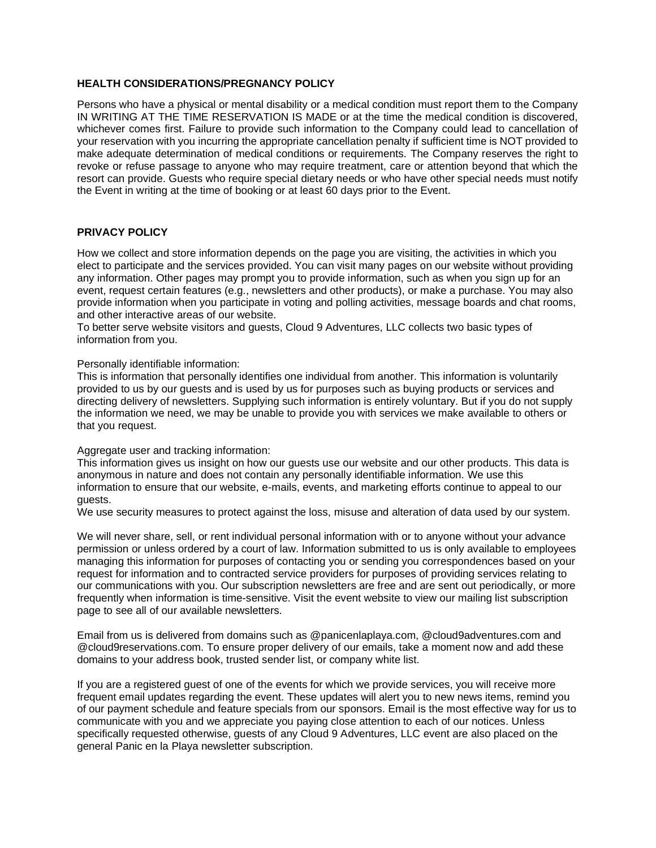## **HEALTH CONSIDERATIONS/PREGNANCY POLICY**

Persons who have a physical or mental disability or a medical condition must report them to the Company IN WRITING AT THE TIME RESERVATION IS MADE or at the time the medical condition is discovered, whichever comes first. Failure to provide such information to the Company could lead to cancellation of your reservation with you incurring the appropriate cancellation penalty if sufficient time is NOT provided to make adequate determination of medical conditions or requirements. The Company reserves the right to revoke or refuse passage to anyone who may require treatment, care or attention beyond that which the resort can provide. Guests who require special dietary needs or who have other special needs must notify the Event in writing at the time of booking or at least 60 days prior to the Event.

## **PRIVACY POLICY**

How we collect and store information depends on the page you are visiting, the activities in which you elect to participate and the services provided. You can visit many pages on our website without providing any information. Other pages may prompt you to provide information, such as when you sign up for an event, request certain features (e.g., newsletters and other products), or make a purchase. You may also provide information when you participate in voting and polling activities, message boards and chat rooms, and other interactive areas of our website.

To better serve website visitors and guests, Cloud 9 Adventures, LLC collects two basic types of information from you.

#### Personally identifiable information:

This is information that personally identifies one individual from another. This information is voluntarily provided to us by our guests and is used by us for purposes such as buying products or services and directing delivery of newsletters. Supplying such information is entirely voluntary. But if you do not supply the information we need, we may be unable to provide you with services we make available to others or that you request.

#### Aggregate user and tracking information:

This information gives us insight on how our guests use our website and our other products. This data is anonymous in nature and does not contain any personally identifiable information. We use this information to ensure that our website, e-mails, events, and marketing efforts continue to appeal to our guests.

We use security measures to protect against the loss, misuse and alteration of data used by our system.

We will never share, sell, or rent individual personal information with or to anyone without your advance permission or unless ordered by a court of law. Information submitted to us is only available to employees managing this information for purposes of contacting you or sending you correspondences based on your request for information and to contracted service providers for purposes of providing services relating to our communications with you. Our subscription newsletters are free and are sent out periodically, or more frequently when information is time-sensitive. Visit the event website to view our mailing list subscription page to see all of our available newsletters.

Email from us is delivered from domains such as @panicenlaplaya.com, @cloud9adventures.com and @cloud9reservations.com. To ensure proper delivery of our emails, take a moment now and add these domains to your address book, trusted sender list, or company white list.

If you are a registered guest of one of the events for which we provide services, you will receive more frequent email updates regarding the event. These updates will alert you to new news items, remind you of our payment schedule and feature specials from our sponsors. Email is the most effective way for us to communicate with you and we appreciate you paying close attention to each of our notices. Unless specifically requested otherwise, guests of any Cloud 9 Adventures, LLC event are also placed on the general Panic en la Playa newsletter subscription.